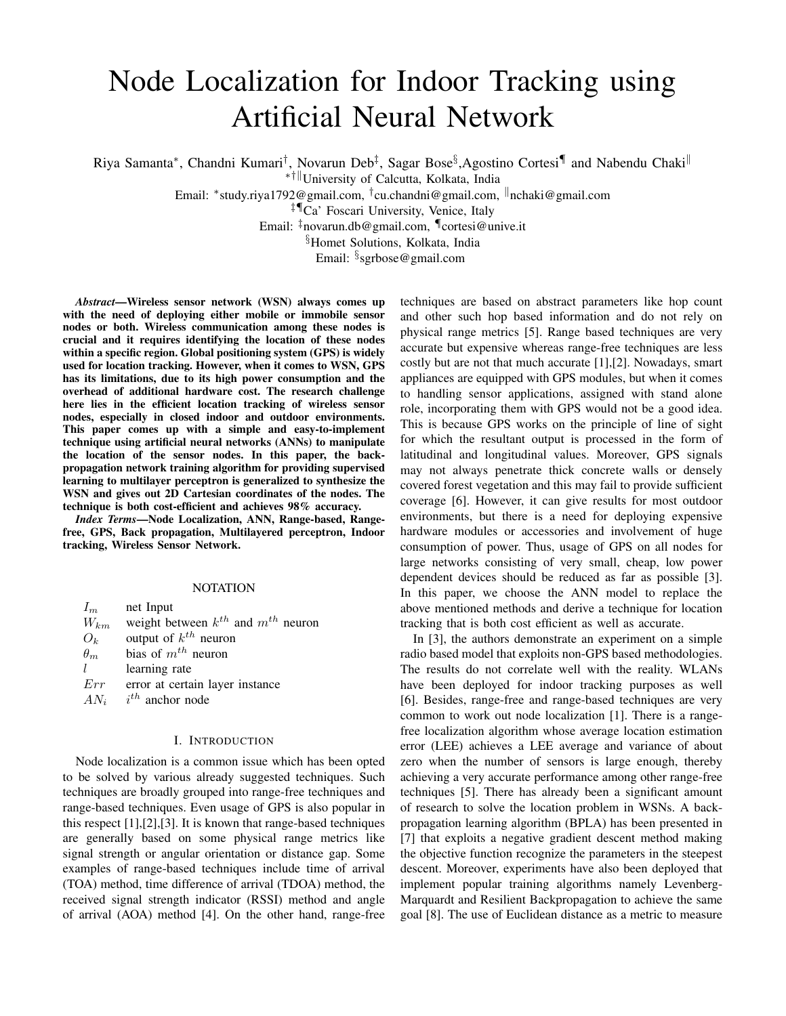# Node Localization for Indoor Tracking using Artificial Neural Network

Riya Samanta\*, Chandni Kumari<sup>†</sup>, Novarun Deb<sup>‡</sup>, Sagar Bose<sup>§</sup>,Agostino Cortesi¶ and Nabendu Chaki<sup>∥</sup>

\*<sup>†∥</sup>University of Calcutta, Kolkata, India

Email: \*study.riya1792@gmail.com, <sup>†</sup>cu.chandni@gmail.com, <sup>∥</sup>nchaki@gmail.com

‡¶Ca' Foscari University, Venice, Italy

Email: ‡novarun.db@gmail.com, ¶cortesi@unive.it

§Homet Solutions, Kolkata, India

Email: § sgrbose@gmail.com

*Abstract*—Wireless sensor network (WSN) always comes up with the need of deploying either mobile or immobile sensor nodes or both. Wireless communication among these nodes is crucial and it requires identifying the location of these nodes within a specific region. Global positioning system (GPS) is widely used for location tracking. However, when it comes to WSN, GPS has its limitations, due to its high power consumption and the overhead of additional hardware cost. The research challenge here lies in the efficient location tracking of wireless sensor nodes, especially in closed indoor and outdoor environments. This paper comes up with a simple and easy-to-implement technique using artificial neural networks (ANNs) to manipulate the location of the sensor nodes. In this paper, the backpropagation network training algorithm for providing supervised learning to multilayer perceptron is generalized to synthesize the WSN and gives out 2D Cartesian coordinates of the nodes. The technique is both cost-efficient and achieves 98% accuracy.

*Index Terms*—Node Localization, ANN, Range-based, Rangefree, GPS, Back propagation, Multilayered perceptron, Indoor tracking, Wireless Sensor Network.

#### NOTATION

| $I_m$      | net Input                                   |
|------------|---------------------------------------------|
| $W_{km}$   | weight between $k^{th}$ and $m^{th}$ neuron |
| $O_k$      | output of $k^{th}$ neuron                   |
| $\theta_m$ | bias of $m^{th}$ neuron                     |
| L          | learning rate                               |
| Err        | error at certain layer instance             |
| $AN_i$     | $i^{th}$ anchor node                        |

#### I. INTRODUCTION

Node localization is a common issue which has been opted to be solved by various already suggested techniques. Such techniques are broadly grouped into range-free techniques and range-based techniques. Even usage of GPS is also popular in this respect [1],[2],[3]. It is known that range-based techniques are generally based on some physical range metrics like signal strength or angular orientation or distance gap. Some examples of range-based techniques include time of arrival (TOA) method, time difference of arrival (TDOA) method, the received signal strength indicator (RSSI) method and angle of arrival (AOA) method [4]. On the other hand, range-free techniques are based on abstract parameters like hop count and other such hop based information and do not rely on physical range metrics [5]. Range based techniques are very accurate but expensive whereas range-free techniques are less costly but are not that much accurate [1],[2]. Nowadays, smart appliances are equipped with GPS modules, but when it comes to handling sensor applications, assigned with stand alone role, incorporating them with GPS would not be a good idea. This is because GPS works on the principle of line of sight for which the resultant output is processed in the form of latitudinal and longitudinal values. Moreover, GPS signals may not always penetrate thick concrete walls or densely covered forest vegetation and this may fail to provide sufficient coverage [6]. However, it can give results for most outdoor environments, but there is a need for deploying expensive hardware modules or accessories and involvement of huge consumption of power. Thus, usage of GPS on all nodes for large networks consisting of very small, cheap, low power dependent devices should be reduced as far as possible [3]. In this paper, we choose the ANN model to replace the above mentioned methods and derive a technique for location tracking that is both cost efficient as well as accurate.

In [3], the authors demonstrate an experiment on a simple radio based model that exploits non-GPS based methodologies. The results do not correlate well with the reality. WLANs have been deployed for indoor tracking purposes as well [6]. Besides, range-free and range-based techniques are very common to work out node localization [1]. There is a rangefree localization algorithm whose average location estimation error (LEE) achieves a LEE average and variance of about zero when the number of sensors is large enough, thereby achieving a very accurate performance among other range-free techniques [5]. There has already been a significant amount of research to solve the location problem in WSNs. A backpropagation learning algorithm (BPLA) has been presented in [7] that exploits a negative gradient descent method making the objective function recognize the parameters in the steepest descent. Moreover, experiments have also been deployed that implement popular training algorithms namely Levenberg-Marquardt and Resilient Backpropagation to achieve the same goal [8]. The use of Euclidean distance as a metric to measure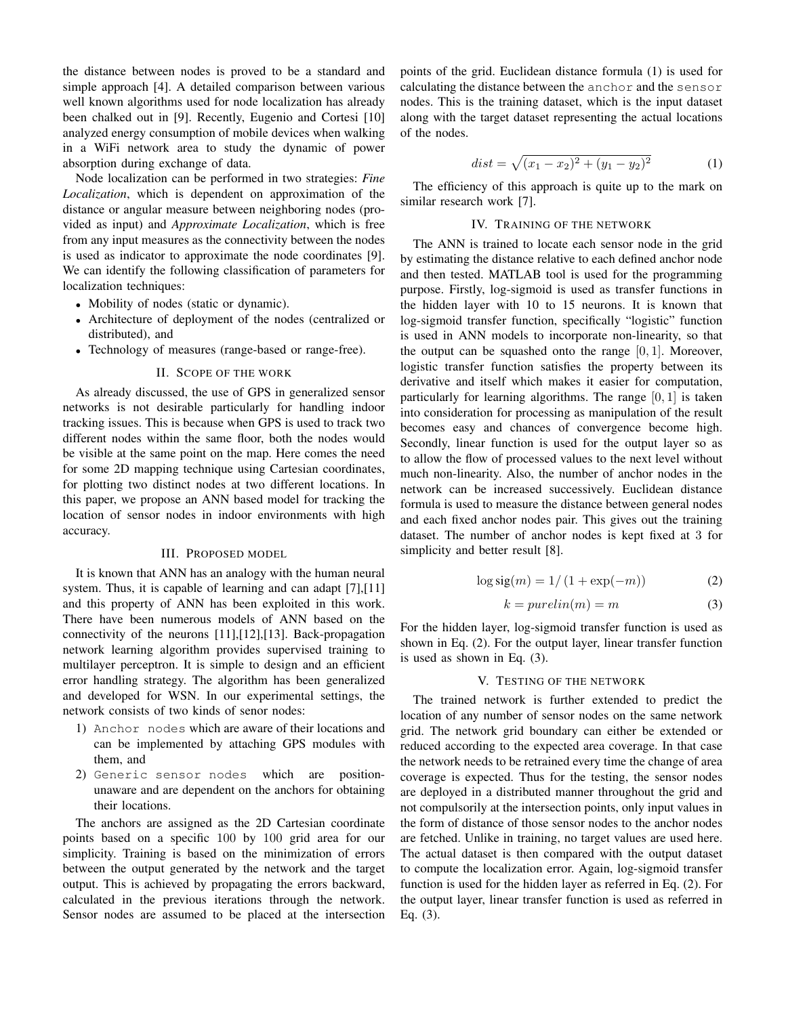the distance between nodes is proved to be a standard and simple approach [4]. A detailed comparison between various well known algorithms used for node localization has already been chalked out in [9]. Recently, Eugenio and Cortesi [10] analyzed energy consumption of mobile devices when walking in a WiFi network area to study the dynamic of power absorption during exchange of data.

Node localization can be performed in two strategies: *Fine Localization*, which is dependent on approximation of the distance or angular measure between neighboring nodes (provided as input) and *Approximate Localization*, which is free from any input measures as the connectivity between the nodes is used as indicator to approximate the node coordinates [9]. We can identify the following classification of parameters for localization techniques:

- Mobility of nodes (static or dynamic).
- Architecture of deployment of the nodes (centralized or distributed), and
- Technology of measures (range-based or range-free).

#### II. SCOPE OF THE WORK

As already discussed, the use of GPS in generalized sensor networks is not desirable particularly for handling indoor tracking issues. This is because when GPS is used to track two different nodes within the same floor, both the nodes would be visible at the same point on the map. Here comes the need for some 2D mapping technique using Cartesian coordinates, for plotting two distinct nodes at two different locations. In this paper, we propose an ANN based model for tracking the location of sensor nodes in indoor environments with high accuracy.

#### III. PROPOSED MODEL

It is known that ANN has an analogy with the human neural system. Thus, it is capable of learning and can adapt [7], [11] and this property of ANN has been exploited in this work. There have been numerous models of ANN based on the connectivity of the neurons [11],[12],[13]. Back-propagation network learning algorithm provides supervised training to multilayer perceptron. It is simple to design and an efficient error handling strategy. The algorithm has been generalized and developed for WSN. In our experimental settings, the network consists of two kinds of senor nodes:

- 1) Anchor nodes which are aware of their locations and can be implemented by attaching GPS modules with them, and
- 2) Generic sensor nodes which are positionunaware and are dependent on the anchors for obtaining their locations.

The anchors are assigned as the 2D Cartesian coordinate points based on a specific 100 by 100 grid area for our simplicity. Training is based on the minimization of errors between the output generated by the network and the target output. This is achieved by propagating the errors backward, calculated in the previous iterations through the network. Sensor nodes are assumed to be placed at the intersection points of the grid. Euclidean distance formula (1) is used for calculating the distance between the anchor and the sensor nodes. This is the training dataset, which is the input dataset along with the target dataset representing the actual locations of the nodes.

$$
dist = \sqrt{(x_1 - x_2)^2 + (y_1 - y_2)^2}
$$
 (1)

The efficiency of this approach is quite up to the mark on similar research work [7].

#### IV. TRAINING OF THE NETWORK

The ANN is trained to locate each sensor node in the grid by estimating the distance relative to each defined anchor node and then tested. MATLAB tool is used for the programming purpose. Firstly, log-sigmoid is used as transfer functions in the hidden layer with 10 to 15 neurons. It is known that log-sigmoid transfer function, specifically "logistic" function is used in ANN models to incorporate non-linearity, so that the output can be squashed onto the range  $[0, 1]$ . Moreover, logistic transfer function satisfies the property between its derivative and itself which makes it easier for computation, particularly for learning algorithms. The range  $[0, 1]$  is taken into consideration for processing as manipulation of the result becomes easy and chances of convergence become high. Secondly, linear function is used for the output layer so as to allow the flow of processed values to the next level without much non-linearity. Also, the number of anchor nodes in the network can be increased successively. Euclidean distance formula is used to measure the distance between general nodes and each fixed anchor nodes pair. This gives out the training dataset. The number of anchor nodes is kept fixed at 3 for simplicity and better result [8].

$$
\log \text{sig}(m) = 1/(1 + \exp(-m))\tag{2}
$$

$$
k = purelin(m) = m \tag{3}
$$

For the hidden layer, log-sigmoid transfer function is used as shown in Eq. (2). For the output layer, linear transfer function is used as shown in Eq. (3).

#### V. TESTING OF THE NETWORK

The trained network is further extended to predict the location of any number of sensor nodes on the same network grid. The network grid boundary can either be extended or reduced according to the expected area coverage. In that case the network needs to be retrained every time the change of area coverage is expected. Thus for the testing, the sensor nodes are deployed in a distributed manner throughout the grid and not compulsorily at the intersection points, only input values in the form of distance of those sensor nodes to the anchor nodes are fetched. Unlike in training, no target values are used here. The actual dataset is then compared with the output dataset to compute the localization error. Again, log-sigmoid transfer function is used for the hidden layer as referred in Eq. (2). For the output layer, linear transfer function is used as referred in Eq. (3).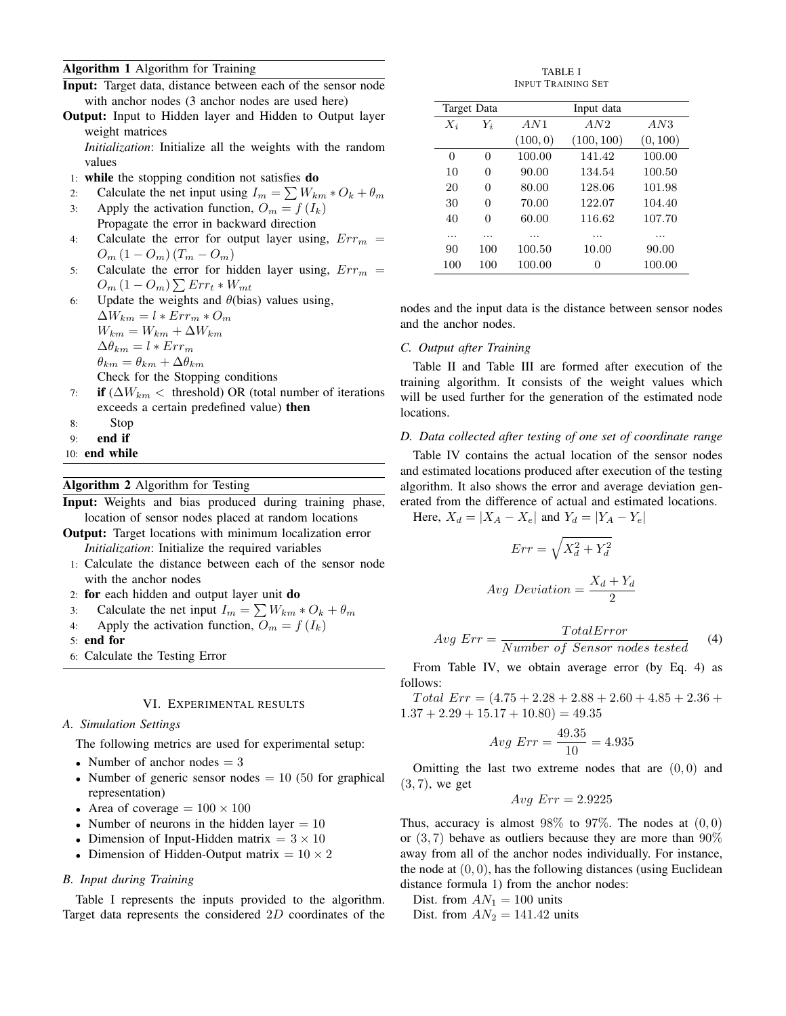# Algorithm 1 Algorithm for Training

|  |  | <b>Input:</b> Target data, distance between each of the sensor node |  |
|--|--|---------------------------------------------------------------------|--|
|  |  | with anchor nodes (3 anchor nodes are used here)                    |  |

**Output:** Input to Hidden layer and Hidden to Output layer weight matrices

*Initialization*: Initialize all the weights with the random values

1: while the stopping condition not satisfies do

2: Calculate the net input using 
$$
I_m = \sum W_{km} * O_k + \theta_m
$$

- 3: Apply the activation function,  $O_m = f(I_k)$ Propagate the error in backward direction
- 4: Calculate the error for output layer using,  $Err_m =$  $O_m (1 - O_m) (T_m - O_m)$
- 5: Calculate the error for hidden layer using,  $Err_m =$  $O_m\left(1 - O_m\right) \sum Err_t*W_{mt}$
- 6: Update the weights and  $\theta$ (bias) values using,  $\Delta W_{km} = l * Err_m * O_m$

 $W_{km} = W_{km} + \Delta W_{km}$  $\Delta\theta_{km} = l * Err_m$  $\theta_{km} = \theta_{km} + \Delta \theta_{km}$ Check for the Stopping conditions

- 7: if  $(\Delta W_{km} <$  threshold) OR (total number of iterations exceeds a certain predefined value) then
- 8: Stop
- 9: end if
- 10: end while

## Algorithm 2 Algorithm for Testing

Input: Weights and bias produced during training phase, location of sensor nodes placed at random locations

- Output: Target locations with minimum localization error *Initialization*: Initialize the required variables
- 1: Calculate the distance between each of the sensor node with the anchor nodes
- 2: for each hidden and output layer unit do
- 3: Calculate the net input  $I_m = \sum W_{km} * O_k + \theta_m$
- 4: Apply the activation function,  $O_m = f(I_k)$
- 5: end for
- 6: Calculate the Testing Error

## VI. EXPERIMENTAL RESULTS

#### *A. Simulation Settings*

The following metrics are used for experimental setup:

- Number of anchor nodes  $= 3$
- Number of generic sensor nodes  $= 10$  (50 for graphical representation)
- Area of coverage  $= 100 \times 100$
- Number of neurons in the hidden layer  $= 10$
- Dimension of Input-Hidden matrix  $= 3 \times 10$
- Dimension of Hidden-Output matrix =  $10 \times 2$

# *B. Input during Training*

Table I represents the inputs provided to the algorithm. Target data represents the considered 2D coordinates of the

TABLE I INPUT TRAINING SET

| Target Data |          | Input data |            |          |  |  |
|-------------|----------|------------|------------|----------|--|--|
| $X_i$       | $Y_i$    | AN1        | AN2        | AN3      |  |  |
|             |          | (100, 0)   | (100, 100) | (0, 100) |  |  |
| 0           | 0        | 100.00     | 141.42     | 100.00   |  |  |
| 10          | $\Omega$ | 90.00      | 134.54     | 100.50   |  |  |
| 20          | $\Omega$ | 80.00      | 128.06     | 101.98   |  |  |
| 30          | $\Omega$ | 70.00      | 122.07     | 104.40   |  |  |
| 40          | 0        | 60.00      | 116.62     | 107.70   |  |  |
| .           | .        | .          | .          | .        |  |  |
| 90          | 100      | 100.50     | 10.00      | 90.00    |  |  |
| 100         | 100      | 100.00     | 0          | 100.00   |  |  |

nodes and the input data is the distance between sensor nodes and the anchor nodes.

## *C. Output after Training*

Table II and Table III are formed after execution of the training algorithm. It consists of the weight values which will be used further for the generation of the estimated node locations.

## *D. Data collected after testing of one set of coordinate range*

Table IV contains the actual location of the sensor nodes and estimated locations produced after execution of the testing algorithm. It also shows the error and average deviation generated from the difference of actual and estimated locations.

Here,  $X_d = |X_A - X_e|$  and  $Y_d = |Y_A - Y_e|$ 

$$
Err = \sqrt{X_d^2 + Y_d^2}
$$
  
 
$$
Avg\ Deviation = \frac{X_d + Y_d}{2}
$$

$$
Avg Err = \frac{TotalError}{Number\ of\ Sensor\ nodes\ tested} \tag{4}
$$

From Table IV, we obtain average error (by Eq. 4) as follows:

 $Total Err = (4.75 + 2.28 + 2.88 + 2.60 + 4.85 + 2.36 +$  $1.37 + 2.29 + 15.17 + 10.80 = 49.35$ 

$$
Avg\ Err = \frac{49.35}{10} = 4.935
$$

Omitting the last two extreme nodes that are  $(0, 0)$  and  $(3, 7)$ , we get

$$
Avg\ Err = 2.9225
$$

Thus, accuracy is almost  $98\%$  to  $97\%$ . The nodes at  $(0, 0)$ or  $(3, 7)$  behave as outliers because they are more than  $90\%$ away from all of the anchor nodes individually. For instance, the node at  $(0, 0)$ , has the following distances (using Euclidean distance formula 1) from the anchor nodes:

- Dist. from  $AN_1 = 100$  units
- Dist. from  $AN_2 = 141.42$  units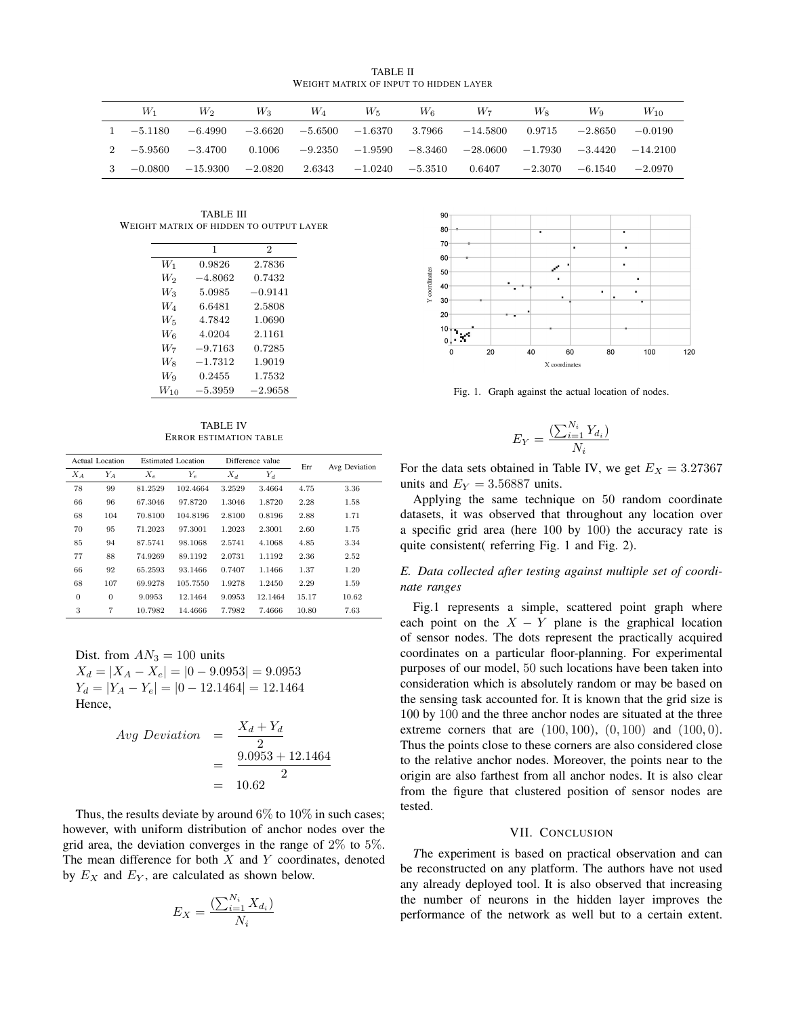TABLE II WEIGHT MATRIX OF INPUT TO HIDDEN LAYER

| W1          | $W_2$                | $W_3$     | W <sub>4</sub>   | W5.               | $W_6$     | W7                                        | $W_{8}$ | Wo                            | $W_{10}$  |
|-------------|----------------------|-----------|------------------|-------------------|-----------|-------------------------------------------|---------|-------------------------------|-----------|
| $-5.1180$   | $-6.4990$            | -3.6620   | $-5.6500$        | $-1.6370$         |           | $3.7966$ $-14.5800$ $0.9715$ $-2.8650$    |         |                               | $-0.0190$ |
| $2 -5.9560$ | $-3.4700$            |           | $0.1006 -9.2350$ | $-1.9590 -8.3460$ |           | $-28.0600$ $-1.7930$ $-3.4420$ $-14.2100$ |         |                               |           |
|             | $-0.0800$ $-15.9300$ | $-2.0820$ | 2.6343           | $-1.0240$         | $-5.3510$ | 0.6407                                    |         | $-2.3070$ $-6.1540$ $-2.0970$ |           |

TABLE III WEIGHT MATRIX OF HIDDEN TO OUTPUT LAYER

|          | 1         | $\overline{2}$ |
|----------|-----------|----------------|
| $W_1$    | 0.9826    | 2.7836         |
| W2       | $-4.8062$ | 0.7432         |
| $W_3$    | 5.0985    | $-0.9141$      |
| W4       | 6.6481    | 2.5808         |
| $W_5$    | 4.7842    | 1.0690         |
| Wв       | 4.0204    | 2.1161         |
| W7       | $-9.7163$ | 0.7285         |
| Wя       | $-1.7312$ | 1.9019         |
| Wq       | 0.2455    | 1.7532         |
| $W_{10}$ | $-5.3959$ | $-2.9658$      |

TABLE IV ERROR ESTIMATION TABLE

| Actual Location |              | Estimated Location |          | Difference value |         | Err   | Avg Deviation |
|-----------------|--------------|--------------------|----------|------------------|---------|-------|---------------|
| $X_A$           | $Y_A$        | $X_e$              | $Y_e$    | $X_d$            | $Y_d$   |       |               |
| 78              | 99           | 81.2529            | 102.4664 | 3.2529           | 3.4664  | 4.75  | 3.36          |
| 66              | 96           | 67.3046            | 97.8720  | 1.3046           | 1.8720  | 2.28  | 1.58          |
| 68              | 104          | 70.8100            | 104.8196 | 2.8100           | 0.8196  | 2.88  | 1.71          |
| 70              | 95           | 71.2023            | 97.3001  | 1.2023           | 2.3001  | 2.60  | 1.75          |
| 85              | 94           | 87.5741            | 98.1068  | 2.5741           | 4.1068  | 4.85  | 3.34          |
| 77              | 88           | 74.9269            | 89.1192  | 2.0731           | 1.1192  | 2.36  | 2.52          |
| 66              | 92           | 65.2593            | 93.1466  | 0.7407           | 1.1466  | 1.37  | 1.20          |
| 68              | 107          | 69.9278            | 105.7550 | 1.9278           | 1.2450  | 2.29  | 1.59          |
| $\overline{0}$  | $\mathbf{0}$ | 9.0953             | 12.1464  | 9.0953           | 12.1464 | 15.17 | 10.62         |
| 3               | 7            | 10.7982            | 14.4666  | 7.7982           | 7.4666  | 10.80 | 7.63          |

Dist. from  $AN_3 = 100$  units  $X_d = |X_A - X_e| = |0 - 9.0953| = 9.0953$  $Y_d = |Y_A - Y_e| = |0 - 12.1464| = 12.1464$ Hence,

$$
Avg Deviation = \frac{X_d + Y_d}{2}
$$
  
= 
$$
\frac{9.0953 + 12.1464}{2}
$$
  
= 10.62

Thus, the results deviate by around  $6\%$  to  $10\%$  in such cases; however, with uniform distribution of anchor nodes over the grid area, the deviation converges in the range of  $2\%$  to  $5\%$ . The mean difference for both  $X$  and  $Y$  coordinates, denoted by  $E_X$  and  $E_Y$ , are calculated as shown below.

$$
E_X = \frac{\left(\sum_{i=1}^{N_i} X_{d_i}\right)}{N_i}
$$



Fig. 1. Graph against the actual location of nodes.

$$
E_Y = \frac{\left(\sum_{i=1}^{N_i} Y_{d_i}\right)}{N_i}
$$

For the data sets obtained in Table IV, we get  $E_X = 3.27367$ units and  $E_Y = 3.56887$  units.

Applying the same technique on 50 random coordinate datasets, it was observed that throughout any location over a specific grid area (here 100 by 100) the accuracy rate is quite consistent( referring Fig. 1 and Fig. 2).

*E. Data collected after testing against multiple set of coordinate ranges*

Fig.1 represents a simple, scattered point graph where each point on the  $X - Y$  plane is the graphical location of sensor nodes. The dots represent the practically acquired coordinates on a particular floor-planning. For experimental purposes of our model, 50 such locations have been taken into consideration which is absolutely random or may be based on the sensing task accounted for. It is known that the grid size is 100 by 100 and the three anchor nodes are situated at the three extreme corners that are  $(100, 100)$ ,  $(0, 100)$  and  $(100, 0)$ . Thus the points close to these corners are also considered close to the relative anchor nodes. Moreover, the points near to the origin are also farthest from all anchor nodes. It is also clear from the figure that clustered position of sensor nodes are tested.

#### VII. CONCLUSION

*T*he experiment is based on practical observation and can be reconstructed on any platform. The authors have not used any already deployed tool. It is also observed that increasing the number of neurons in the hidden layer improves the performance of the network as well but to a certain extent.